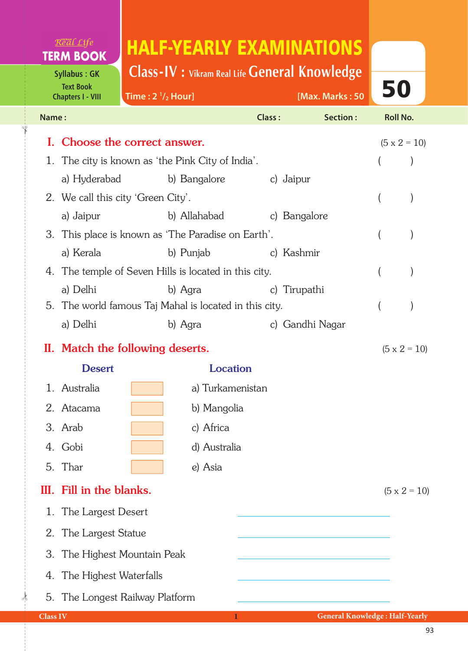## Real Life **TERM BOOK**

**Syllabus : GK Text Book Chapters I - VIII**

✁

## HALF-YEARLY EXAMINATIONS

**Class-IV : Vikram Real Life General Knowledge**

| <b>Text Book</b><br><b>Chapters I - VIII</b> |                                                       | Time: $2 \frac{1}{2}$ Hour]  |                  |               | [Max. Marks: 50 |                     | 50                  |  |
|----------------------------------------------|-------------------------------------------------------|------------------------------|------------------|---------------|-----------------|---------------------|---------------------|--|
| Name:                                        |                                                       |                              |                  | <b>Class:</b> | Section:        | <b>Roll No.</b>     |                     |  |
|                                              | I. Choose the correct answer.                         |                              |                  |               |                 |                     | $(5 \times 2 = 10)$ |  |
| 1.                                           | The city is known as 'the Pink City of India'.        |                              |                  |               |                 |                     |                     |  |
|                                              | a) Hyderabad                                          |                              | b) Bangalore     | c) Jaipur     |                 |                     |                     |  |
|                                              | 2. We call this city 'Green City'.                    |                              |                  |               |                 |                     |                     |  |
|                                              | a) Jaipur                                             | b) Allahabad<br>c) Bangalore |                  |               |                 |                     |                     |  |
|                                              | 3. This place is known as 'The Paradise on Earth'.    |                              |                  |               |                 |                     |                     |  |
|                                              | a) Kerala                                             |                              | b) Punjab        | c) Kashmir    |                 |                     |                     |  |
|                                              | 4. The temple of Seven Hills is located in this city. |                              |                  |               |                 |                     |                     |  |
|                                              | a) Delhi                                              |                              | b) Agra          | c) Tirupathi  |                 |                     |                     |  |
| 5.                                           | The world famous Taj Mahal is located in this city.   |                              |                  |               |                 |                     |                     |  |
|                                              | a) Delhi                                              |                              | b) Agra          |               | c) Gandhi Nagar |                     |                     |  |
|                                              | II. Match the following deserts.                      |                              |                  |               |                 | $(5 \times 2 = 10)$ |                     |  |
|                                              | <b>Desert</b>                                         |                              | <b>Location</b>  |               |                 |                     |                     |  |
|                                              | 1. Australia                                          |                              | a) Turkamenistan |               |                 |                     |                     |  |
|                                              | 2. Atacama                                            |                              | b) Mangolia      |               |                 |                     |                     |  |
|                                              | 3. Arab                                               |                              | c) Africa        |               |                 |                     |                     |  |
|                                              | 4. Gobi<br>d) Australia                               |                              |                  |               |                 |                     |                     |  |
|                                              | 5. Thar<br>e) Asia                                    |                              |                  |               |                 |                     |                     |  |
|                                              | III. Fill in the blanks.<br>$(5 \times 2 = 10)$       |                              |                  |               |                 |                     |                     |  |
| 1.                                           | The Largest Desert                                    |                              |                  |               |                 |                     |                     |  |
| 2.                                           | The Largest Statue                                    |                              |                  |               |                 |                     |                     |  |
| 3.                                           | The Highest Mountain Peak                             |                              |                  |               |                 |                     |                     |  |
| 4.                                           | The Highest Waterfalls                                |                              |                  |               |                 |                     |                     |  |
|                                              | 5. The Longest Railway Platform                       |                              |                  |               |                 |                     |                     |  |

 $\frac{1}{2}$